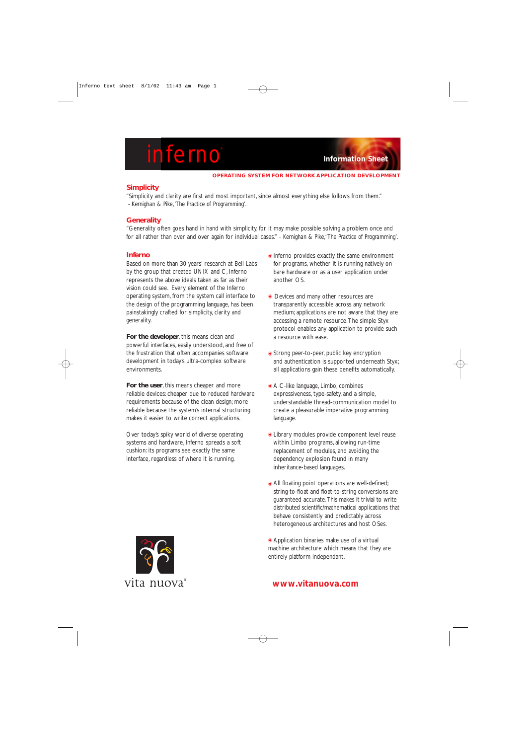# **inferno Information Sheet**

#### **OPERATING SYSTEM FOR NETWORK APPLICATION DEVELOPMENT**

# **Simplicity**

"Simplicity and clarity are first and most important, since almost everything else follows from them." *- Kernighan & Pike,'The Practice of Programming'.*

## **Generality**

"Generality often goes hand in hand with simplicity, for it may make possible solving a problem once and for all rather than over and over again for individual cases." - *Kernighan & Pike,' The Practice of Programming'.*

### **Inferno**

Based on more than 30 years' research at Bell Labs by the group that created UNIX and C, Inferno represents the above ideals taken as far as their vision could see. Every element of the Inferno operating system, from the system call interface to the design of the programming language, has been painstakingly crafted for simplicity, clarity and generality.

**For the developer**, this means clean and powerful interfaces, easily understood, and free of the frustration that often accompanies software development in today's ultra-complex software environments.

**For the user**, this means cheaper and more reliable devices: cheaper due to reduced hardware requirements because of the clean design; more reliable because the system's internal structuring makes it easier to write correct applications.

Over today's spiky world of diverse operating systems and hardware, Inferno spreads a soft cushion: its programs see exactly the same interface, regardless of where it is running.

- $\bullet$  Inferno provides exactly the same environment for programs, whether it is running natively on bare hardware or as a user application under another OS.
- $\bullet$  Devices and many other resources are transparently accessible across any network medium; applications are not aware that they are accessing a remote resource.The simple Styx protocol enables any application to provide such a resource with ease.
- $\bullet$  Strong peer-to-peer, public key encryption and authentication is supported underneath Styx; all applications gain these benefits automatically.
- A C-like language, Limbo, combines expressiveness, type-safety, and a simple, understandable thread-communication model to create a pleasurable imperative programming language.
- **ELibrary modules provide component level reuse** within Limbo programs, allowing run-time replacement of modules, and avoiding the dependency explosion found in many inheritance-based languages.
- $\bullet$  All floating point operations are well-defined; string-to-float and float-to-string conversions are guaranteed accurate.This makes it trivial to write distributed scientific/mathematical applications that behave consistently and predictably across heterogeneous architectures and host OSes.

● Application binaries make use of a virtual machine architecture which means that they are entirely platform independant.



# **www.vitanuova.com**